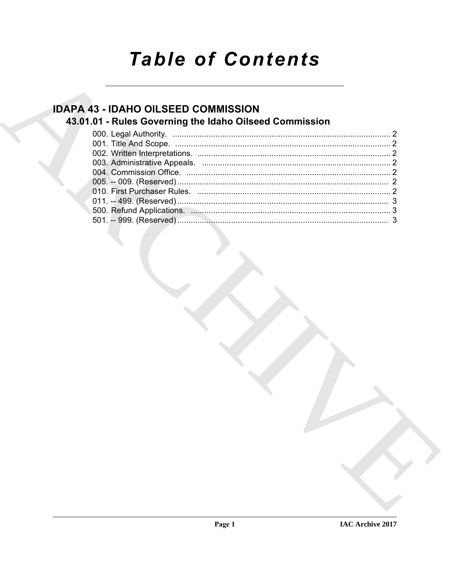# **Table of Contents**

## **IDAPA 43 - IDAHO OILSEED COMMISSION** 43.01.01 - Rules Governing the Idaho Oilseed Commission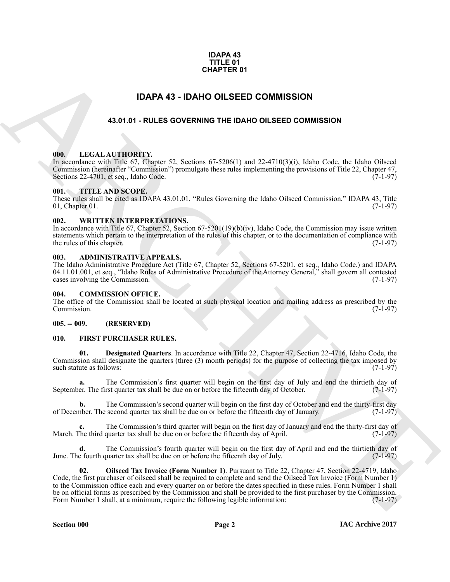#### **IDAPA 43 TITLE 01 CHAPTER 01**

### **IDAPA 43 - IDAHO OILSEED COMMISSION**

#### **43.01.01 - RULES GOVERNING THE IDAHO OILSEED COMMISSION**

#### <span id="page-1-2"></span><span id="page-1-1"></span>**000. LEGAL AUTHORITY.**

In accordance with Title 67, Chapter 52, Sections 67-5206(1) and 22-4710(3)(i), Idaho Code, the Idaho Oilseed Commission (hereinafter "Commission") promulgate these rules implementing the provisions of Title 22, Chapter 47, Sections 22-4701, et seq., Idaho Code.

#### <span id="page-1-3"></span>**001. TITLE AND SCOPE.**

These rules shall be cited as IDAPA 43.01.01, "Rules Governing the Idaho Oilseed Commission," IDAPA 43, Title 01. Chapter 01.  $01$ , Chapter  $01$ .

#### <span id="page-1-4"></span>**002. WRITTEN INTERPRETATIONS.**

In accordance with Title 67, Chapter 52, Section 67-5201(19)(b)(iv), Idaho Code, the Commission may issue written statements which pertain to the interpretation of the rules of this chapter, or to the documentation of compliance with the rules of this chapter. (7-1-97) the rules of this chapter.

#### <span id="page-1-5"></span>**003. ADMINISTRATIVE APPEALS.**

The Idaho Administrative Procedure Act (Title 67, Chapter 52, Sections 67-5201, et seq., Idaho Code.) and IDAPA 04.11.01.001, et seq., "Idaho Rules of Administrative Procedure of the Attorney General," shall govern all contested cases involving the Commission. (7-1-97)

#### <span id="page-1-6"></span>**004. COMMISSION OFFICE.**

The office of the Commission shall be located at such physical location and mailing address as prescribed by the Commission. (7-1-97) Commission. (7-1-97)

#### <span id="page-1-7"></span>**005. -- 009. (RESERVED)**

#### <span id="page-1-9"></span><span id="page-1-8"></span>**010. FIRST PURCHASER RULES.**

<span id="page-1-10"></span>**Designated Ouarters**. In accordance with Title 22, Chapter 47, Section 22-4716, Idaho Code, the Commission shall designate the quarters (three (3) month periods) for the purpose of collecting the tax imposed by such statute as follows:  $(7-1-97)$ such statute as follows:

**a.** The Commission's first quarter will begin on the first day of July and end the thirtieth day of er. The first quarter tax shall be due on or before the fifteenth day of October. (7-1-97) September. The first quarter tax shall be due on or before the fifteenth day of October.

**b.** The Commission's second quarter will begin on the first day of October and end the thirty-first day of Development The second quarter tax shall be due on or before the fifteenth day of January. (7-1-97) of December. The second quarter tax shall be due on or before the fifteenth day of January.

**c.** The Commission's third quarter will begin on the first day of January and end the thirty-first day of March. The third quarter tax shall be due on or before the fifteenth day of April. (7-1-97)

<span id="page-1-11"></span>The Commission's fourth quarter will begin on the first day of April and end the thirtieth day of puarter tax shall be due on or before the fifteenth day of July. (7-1-97) June. The fourth quarter tax shall be due on or before the fifteenth day of July.

<span id="page-1-0"></span>**CHAPTER 01**<br> **CHAPTER OF COMMISSION**<br>
43.01.01 - RULES GOVERNMG THE IDAMO OILSEED COMMISSION<br>
43.01.01 - RULES GOVERNMG THE IDAMO OILSEED COMMISSION<br>
10.1 - ITILIA ANTITORITY:<br>
FROM LEGAL AUTIORITY:<br>
FROM LEGAL AUTIORITY **02. Oilseed Tax Invoice (Form Number 1)**. Pursuant to Title 22, Chapter 47, Section 22-4719, Idaho Code, the first purchaser of oilseed shall be required to complete and send the Oilseed Tax Invoice (Form Number 1) to the Commission office each and every quarter on or before the dates specified in these rules. Form Number 1 shall be on official forms as prescribed by the Commission and shall be provided to the first purchaser by the Commission.<br>Form Number 1 shall, at a minimum, require the following legible information: (7-1-97) Form Number 1 shall, at a minimum, require the following legible information: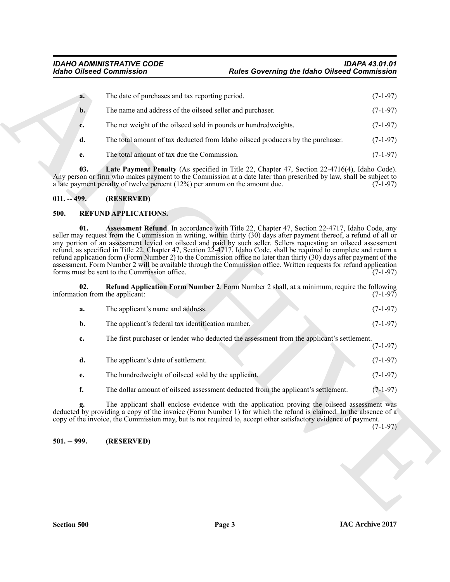| $a_{\cdot}$ | The date of purchases and tax reporting period.                                 | $(7-1-97)$ |
|-------------|---------------------------------------------------------------------------------|------------|
| b.          | The name and address of the oilseed seller and purchaser.                       | $(7-1-97)$ |
| c.          | The net weight of the oilseed sold in pounds or hundred weights.                | $(7-1-97)$ |
| d.          | The total amount of tax deducted from Idaho oilseed producers by the purchaser. | $(7-1-97)$ |
| e.          | The total amount of tax due the Commission.                                     | $(7-1-97)$ |

#### <span id="page-2-3"></span><span id="page-2-0"></span>**011. -- 499. (RESERVED)**

#### <span id="page-2-6"></span><span id="page-2-5"></span><span id="page-2-4"></span><span id="page-2-2"></span><span id="page-2-1"></span>**500. REFUND APPLICATIONS.**

| a.<br>b.<br>c.<br>d.<br>e.<br>03.<br>$011. -499.$ | The date of purchases and tax reporting period.<br>The name and address of the oilseed seller and purchaser.<br>The net weight of the oilseed sold in pounds or hundred weights.<br>The total amount of tax due the Commission.<br>a late payment penalty of twelve percent $(12%)$ per annum on the amount due. | The total amount of tax deducted from Idaho oilseed producers by the purchaser.<br>Late Payment Penalty (As specified in Title 22, Chapter 47, Section 22-4716(4), Idaho Code).                                                                                                                                                                                                                                                                                                                                                                                                                                                                                                                                         | $(7-1-97)$                                           |
|---------------------------------------------------|------------------------------------------------------------------------------------------------------------------------------------------------------------------------------------------------------------------------------------------------------------------------------------------------------------------|-------------------------------------------------------------------------------------------------------------------------------------------------------------------------------------------------------------------------------------------------------------------------------------------------------------------------------------------------------------------------------------------------------------------------------------------------------------------------------------------------------------------------------------------------------------------------------------------------------------------------------------------------------------------------------------------------------------------------|------------------------------------------------------|
|                                                   |                                                                                                                                                                                                                                                                                                                  |                                                                                                                                                                                                                                                                                                                                                                                                                                                                                                                                                                                                                                                                                                                         | $(7-1-97)$<br>$(7-1-97)$<br>$(7-1-97)$<br>$(7-1-97)$ |
|                                                   |                                                                                                                                                                                                                                                                                                                  |                                                                                                                                                                                                                                                                                                                                                                                                                                                                                                                                                                                                                                                                                                                         |                                                      |
|                                                   |                                                                                                                                                                                                                                                                                                                  |                                                                                                                                                                                                                                                                                                                                                                                                                                                                                                                                                                                                                                                                                                                         |                                                      |
|                                                   |                                                                                                                                                                                                                                                                                                                  |                                                                                                                                                                                                                                                                                                                                                                                                                                                                                                                                                                                                                                                                                                                         |                                                      |
|                                                   |                                                                                                                                                                                                                                                                                                                  |                                                                                                                                                                                                                                                                                                                                                                                                                                                                                                                                                                                                                                                                                                                         |                                                      |
|                                                   |                                                                                                                                                                                                                                                                                                                  | Any person or firm who makes payment to the Commission at a date later than prescribed by law, shall be subject to                                                                                                                                                                                                                                                                                                                                                                                                                                                                                                                                                                                                      | $(7-1-97)$                                           |
|                                                   | (RESERVED)                                                                                                                                                                                                                                                                                                       |                                                                                                                                                                                                                                                                                                                                                                                                                                                                                                                                                                                                                                                                                                                         |                                                      |
| 500.                                              | <b>REFUND APPLICATIONS.</b>                                                                                                                                                                                                                                                                                      |                                                                                                                                                                                                                                                                                                                                                                                                                                                                                                                                                                                                                                                                                                                         |                                                      |
| 01.                                               | forms must be sent to the Commission office.                                                                                                                                                                                                                                                                     | <b>Assessment Refund</b> . In accordance with Title 22, Chapter 47, Section 22-4717, Idaho Code, any<br>seller may request from the Commission in writing, within thirty (30) days after payment thereof, a refund of all or<br>any portion of an assessment levied on oilseed and paid by such seller. Sellers requesting an oilseed assessment<br>refund, as specified in Title 22, Chapter 47, Section 22-4717, Idaho Code, shall be required to complete and return a<br>refund application form (Form Number 2) to the Commission office no later than thirty (30) days after payment of the<br>assessment. Form Number 2 will be available through the Commission office. Written requests for refund application | $(7-1-97)$                                           |
| 02.                                               | information from the applicant:                                                                                                                                                                                                                                                                                  | <b>Refund Application Form Number 2.</b> Form Number 2 shall, at a minimum, require the following                                                                                                                                                                                                                                                                                                                                                                                                                                                                                                                                                                                                                       | $(7-1-97)$                                           |
| a.                                                | The applicant's name and address.                                                                                                                                                                                                                                                                                |                                                                                                                                                                                                                                                                                                                                                                                                                                                                                                                                                                                                                                                                                                                         | $(7-1-97)$                                           |
| b.                                                | The applicant's federal tax identification number.                                                                                                                                                                                                                                                               |                                                                                                                                                                                                                                                                                                                                                                                                                                                                                                                                                                                                                                                                                                                         | $(7-1-97)$                                           |
| c.                                                |                                                                                                                                                                                                                                                                                                                  | The first purchaser or lender who deducted the assessment from the applicant's settlement.                                                                                                                                                                                                                                                                                                                                                                                                                                                                                                                                                                                                                              | $(7-1-97)$                                           |
| d.                                                | The applicant's date of settlement.                                                                                                                                                                                                                                                                              |                                                                                                                                                                                                                                                                                                                                                                                                                                                                                                                                                                                                                                                                                                                         | $(7-1-97)$                                           |
| e.                                                | The hundred weight of oilseed sold by the applicant.                                                                                                                                                                                                                                                             |                                                                                                                                                                                                                                                                                                                                                                                                                                                                                                                                                                                                                                                                                                                         | $(7-1-97)$                                           |
| f.                                                |                                                                                                                                                                                                                                                                                                                  | The dollar amount of oilseed assessment deducted from the applicant's settlement.                                                                                                                                                                                                                                                                                                                                                                                                                                                                                                                                                                                                                                       | $(7-1-97)$                                           |
|                                                   |                                                                                                                                                                                                                                                                                                                  | The applicant shall enclose evidence with the application proving the oilseed assessment was<br>deducted by providing a copy of the invoice (Form Number 1) for which the refund is claimed. In the absence of a<br>copy of the invoice, the Commission may, but is not required to, accept other satisfactory evidence of payment.                                                                                                                                                                                                                                                                                                                                                                                     | $(7-1-97)$                                           |
| $501. - 999.$                                     | (RESERVED)                                                                                                                                                                                                                                                                                                       |                                                                                                                                                                                                                                                                                                                                                                                                                                                                                                                                                                                                                                                                                                                         |                                                      |
|                                                   |                                                                                                                                                                                                                                                                                                                  |                                                                                                                                                                                                                                                                                                                                                                                                                                                                                                                                                                                                                                                                                                                         |                                                      |